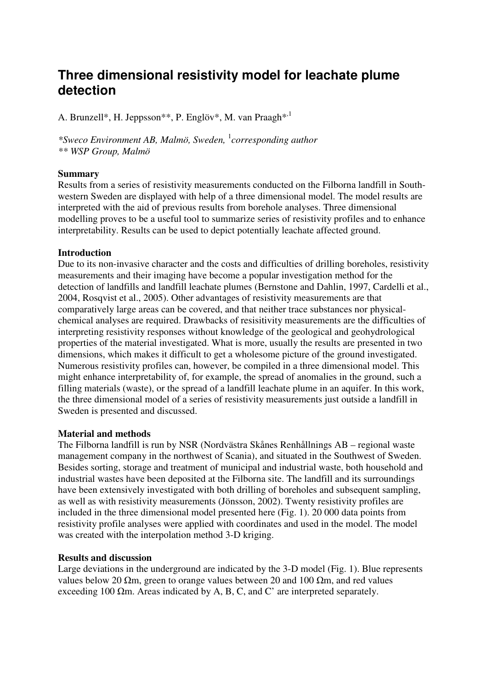# **Three dimensional resistivity model for leachate plume detection**

A. Brunzell<sup>\*</sup>, H. Jeppsson<sup>\*\*</sup>, P. Englöv<sup>\*</sup>, M. van Praagh<sup>\*,1</sup>

*\*Sweco Environment AB, Malmö, Sweden,* <sup>1</sup> *corresponding author \*\* WSP Group, Malmö* 

## **Summary**

Results from a series of resistivity measurements conducted on the Filborna landfill in Southwestern Sweden are displayed with help of a three dimensional model. The model results are interpreted with the aid of previous results from borehole analyses. Three dimensional modelling proves to be a useful tool to summarize series of resistivity profiles and to enhance interpretability. Results can be used to depict potentially leachate affected ground.

## **Introduction**

Due to its non-invasive character and the costs and difficulties of drilling boreholes, resistivity measurements and their imaging have become a popular investigation method for the detection of landfills and landfill leachate plumes (Bernstone and Dahlin, 1997, Cardelli et al., 2004, Rosqvist et al., 2005). Other advantages of resistivity measurements are that comparatively large areas can be covered, and that neither trace substances nor physicalchemical analyses are required. Drawbacks of resisitivity measurements are the difficulties of interpreting resistivity responses without knowledge of the geological and geohydrological properties of the material investigated. What is more, usually the results are presented in two dimensions, which makes it difficult to get a wholesome picture of the ground investigated. Numerous resistivity profiles can, however, be compiled in a three dimensional model. This might enhance interpretability of, for example, the spread of anomalies in the ground, such a filling materials (waste), or the spread of a landfill leachate plume in an aquifer. In this work, the three dimensional model of a series of resistivity measurements just outside a landfill in Sweden is presented and discussed.

#### **Material and methods**

The Filborna landfill is run by NSR (Nordvästra Skånes Renhållnings AB – regional waste management company in the northwest of Scania), and situated in the Southwest of Sweden. Besides sorting, storage and treatment of municipal and industrial waste, both household and industrial wastes have been deposited at the Filborna site. The landfill and its surroundings have been extensively investigated with both drilling of boreholes and subsequent sampling, as well as with resistivity measurements (Jönsson, 2002). Twenty resistivity profiles are included in the three dimensional model presented here (Fig. 1). 20 000 data points from resistivity profile analyses were applied with coordinates and used in the model. The model was created with the interpolation method 3-D kriging.

# **Results and discussion**

Large deviations in the underground are indicated by the 3-D model (Fig. 1). Blue represents values below 20 Ωm, green to orange values between 20 and 100 Ωm, and red values exceeding 100  $\Omega$ m. Areas indicated by A, B, C, and C' are interpreted separately.